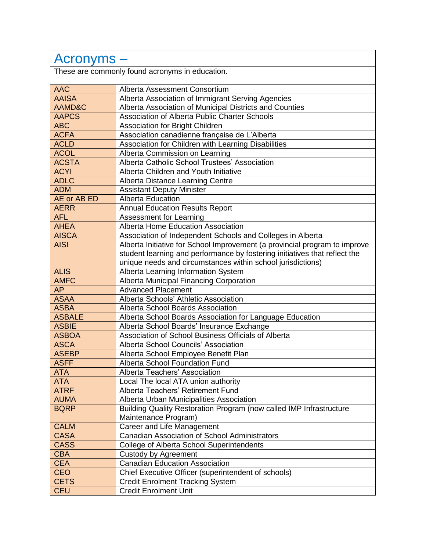| Acronyms -                                      |                                                                            |  |
|-------------------------------------------------|----------------------------------------------------------------------------|--|
| These are commonly found acronyms in education. |                                                                            |  |
| <b>AAC</b>                                      | Alberta Assessment Consortium                                              |  |
| <b>AAISA</b>                                    | Alberta Association of Immigrant Serving Agencies                          |  |
| AAMD&C                                          | Alberta Association of Municipal Districts and Counties                    |  |
| <b>AAPCS</b>                                    | Association of Alberta Public Charter Schools                              |  |
| <b>ABC</b>                                      | <b>Association for Bright Children</b>                                     |  |
| <b>ACFA</b>                                     | Association canadienne française de L'Alberta                              |  |
| <b>ACLD</b>                                     | Association for Children with Learning Disabilities                        |  |
| <b>ACOL</b>                                     | Alberta Commission on Learning                                             |  |
| <b>ACSTA</b>                                    | Alberta Catholic School Trustees' Association                              |  |
| <b>ACYI</b>                                     | Alberta Children and Youth Initiative                                      |  |
| <b>ADLC</b>                                     | Alberta Distance Learning Centre                                           |  |
| <b>ADM</b>                                      | <b>Assistant Deputy Minister</b>                                           |  |
| AE or AB ED                                     | <b>Alberta Education</b>                                                   |  |
| <b>AERR</b>                                     | <b>Annual Education Results Report</b>                                     |  |
| <b>AFL</b>                                      | Assessment for Learning                                                    |  |
| <b>AHEA</b>                                     | Alberta Home Education Association                                         |  |
| <b>AISCA</b>                                    | Association of Independent Schools and Colleges in Alberta                 |  |
| <b>AISI</b>                                     | Alberta Initiative for School Improvement (a provincial program to improve |  |
|                                                 | student learning and performance by fostering initiatives that reflect the |  |
|                                                 | unique needs and circumstances within school jurisdictions)                |  |
| <b>ALIS</b>                                     | Alberta Learning Information System                                        |  |
| <b>AMFC</b>                                     | Alberta Municipal Financing Corporation                                    |  |
| <b>AP</b>                                       | <b>Advanced Placement</b>                                                  |  |
| <b>ASAA</b>                                     | Alberta Schools' Athletic Association                                      |  |
| <b>ASBA</b>                                     | Alberta School Boards Association                                          |  |
| <b>ASBALE</b>                                   | Alberta School Boards Association for Language Education                   |  |
| <b>ASBIE</b>                                    | Alberta School Boards' Insurance Exchange                                  |  |
| <b>ASBOA</b>                                    | Association of School Business Officials of Alberta                        |  |
| <b>ASCA</b>                                     | Alberta School Councils' Association                                       |  |
| <b>ASEBP</b>                                    | Alberta School Employee Benefit Plan                                       |  |
| <b>ASFF</b>                                     | Alberta School Foundation Fund                                             |  |
| <b>ATA</b>                                      | Alberta Teachers' Association                                              |  |
| <b>ATA</b>                                      | Local The local ATA union authority                                        |  |
| <b>ATRF</b>                                     | Alberta Teachers' Retirement Fund                                          |  |
| <b>AUMA</b>                                     | Alberta Urban Municipalities Association                                   |  |
| <b>BQRP</b>                                     | Building Quality Restoration Program (now called IMP Infrastructure        |  |
|                                                 | Maintenance Program)                                                       |  |
| <b>CALM</b>                                     | Career and Life Management                                                 |  |
| <b>CASA</b>                                     | <b>Canadian Association of School Administrators</b>                       |  |
| <b>CASS</b>                                     | <b>College of Alberta School Superintendents</b>                           |  |
| <b>CBA</b>                                      | Custody by Agreement                                                       |  |
| <b>CEA</b>                                      | <b>Canadian Education Association</b>                                      |  |
| <b>CEO</b>                                      | Chief Executive Officer (superintendent of schools)                        |  |
| <b>CETS</b>                                     | <b>Credit Enrolment Tracking System</b>                                    |  |
| <b>CEU</b>                                      | Credit Enrolment Unit                                                      |  |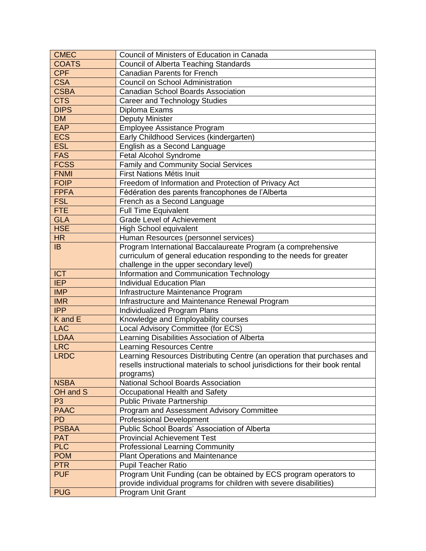| <b>CMEC</b>                | Council of Ministers of Education in Canada                                   |
|----------------------------|-------------------------------------------------------------------------------|
| <b>COATS</b>               | <b>Council of Alberta Teaching Standards</b>                                  |
| <b>CPF</b>                 | <b>Canadian Parents for French</b>                                            |
| <b>CSA</b>                 | Council on School Administration                                              |
| <b>CSBA</b>                | <b>Canadian School Boards Association</b>                                     |
| <b>CTS</b>                 | <b>Career and Technology Studies</b>                                          |
| <b>DIPS</b>                | Diploma Exams                                                                 |
| <b>DM</b>                  | <b>Deputy Minister</b>                                                        |
| <b>EAP</b>                 | Employee Assistance Program                                                   |
| <b>ECS</b>                 | Early Childhood Services (kindergarten)                                       |
| <b>ESL</b>                 | English as a Second Language                                                  |
| <b>FAS</b>                 | Fetal Alcohol Syndrome                                                        |
| <b>FCSS</b>                | Family and Community Social Services                                          |
| <b>FNMI</b>                | First Nations Métis Inuit                                                     |
| <b>FOIP</b>                | Freedom of Information and Protection of Privacy Act                          |
| <b>FPFA</b>                | Fédération des parents francophones de l'Alberta                              |
| <b>FSL</b>                 | French as a Second Language                                                   |
| <b>FTE</b>                 | <b>Full Time Equivalent</b>                                                   |
| <b>GLA</b>                 | <b>Grade Level of Achievement</b>                                             |
| <b>HSE</b>                 | <b>High School equivalent</b>                                                 |
| <b>HR</b>                  | Human Resources (personnel services)                                          |
| IB                         | Program International Baccalaureate Program (a comprehensive                  |
|                            | curriculum of general education responding to the needs for greater           |
|                            | challenge in the upper secondary level)                                       |
| <b>ICT</b>                 | Information and Communication Technology                                      |
| <b>IEP</b>                 | <b>Individual Education Plan</b>                                              |
| <b>IMP</b>                 | Infrastructure Maintenance Program                                            |
| <b>IMR</b>                 | Infrastructure and Maintenance Renewal Program                                |
| <b>IPP</b>                 | Individualized Program Plans                                                  |
| K and E                    | Knowledge and Employability courses                                           |
| <b>LAC</b>                 | Local Advisory Committee (for ECS)                                            |
| <b>LDAA</b>                | Learning Disabilities Association of Alberta                                  |
| <b>LRC</b>                 | <b>Learning Resources Centre</b>                                              |
| <b>LRDC</b>                | Learning Resources Distributing Centre (an operation that purchases and       |
|                            | resells instructional materials to school jurisdictions for their book rental |
|                            | programs)                                                                     |
| <b>NSBA</b>                | National School Boards Association<br>Occupational Health and Safety          |
| OH and S<br>P <sub>3</sub> | <b>Public Private Partnership</b>                                             |
| <b>PAAC</b>                | Program and Assessment Advisory Committee                                     |
| <b>PD</b>                  | <b>Professional Development</b>                                               |
| <b>PSBAA</b>               | Public School Boards' Association of Alberta                                  |
| <b>PAT</b>                 | <b>Provincial Achievement Test</b>                                            |
| <b>PLC</b>                 | <b>Professional Learning Community</b>                                        |
| <b>POM</b>                 | <b>Plant Operations and Maintenance</b>                                       |
| <b>PTR</b>                 | <b>Pupil Teacher Ratio</b>                                                    |
| <b>PUF</b>                 | Program Unit Funding (can be obtained by ECS program operators to             |
|                            | provide individual programs for children with severe disabilities)            |
| <b>PUG</b>                 | <b>Program Unit Grant</b>                                                     |
|                            |                                                                               |